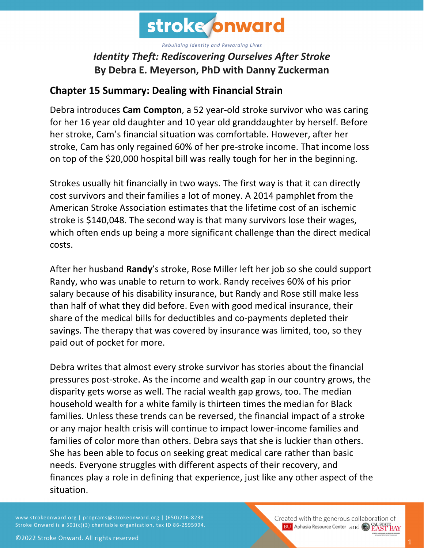

## *Identity Theft: Rediscovering Ourselves After Stroke* **By Debra E. Meyerson, PhD with Danny Zuckerman**

## **Chapter 15 Summary: Dealing with Financial Strain**

Debra introduces **Cam Compton**, a 52 year-old stroke survivor who was caring for her 16 year old daughter and 10 year old granddaughter by herself. Before her stroke, Cam's financial situation was comfortable. However, after her stroke, Cam has only regained 60% of her pre-stroke income. That income loss on top of the \$20,000 hospital bill was really tough for her in the beginning.

Strokes usually hit financially in two ways. The first way is that it can directly cost survivors and their families a lot of money. A 2014 pamphlet from the American Stroke Association estimates that the lifetime cost of an ischemic stroke is \$140,048. The second way is that many survivors lose their wages, which often ends up being a more significant challenge than the direct medical costs.

After her husband **Randy**'s stroke, Rose Miller left her job so she could support Randy, who was unable to return to work. Randy receives 60% of his prior salary because of his disability insurance, but Randy and Rose still make less than half of what they did before. Even with good medical insurance, their share of the medical bills for deductibles and co-payments depleted their savings. The therapy that was covered by insurance was limited, too, so they paid out of pocket for more.

Debra writes that almost every stroke survivor has stories about the financial pressures post-stroke. As the income and wealth gap in our country grows, the disparity gets worse as well. The racial wealth gap grows, too. The median household wealth for a white family is thirteen times the median for Black families. Unless these trends can be reversed, the financial impact of a stroke or any major health crisis will continue to impact lower-income families and families of color more than others. Debra says that she is luckier than others. She has been able to focus on seeking great medical care rather than basic needs. Everyone struggles with different aspects of their recovery, and finances play a role in defining that experience, just like any other aspect of the situation.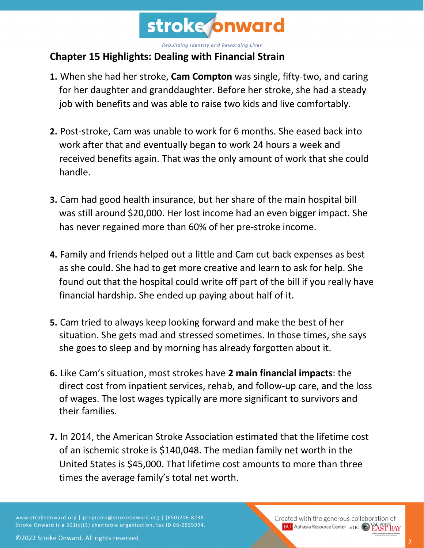

## **Chapter 15 Highlights: Dealing with Financial Strain**

- **1.** When she had her stroke, **Cam Compton** was single, fifty-two, and caring for her daughter and granddaughter. Before her stroke, she had a steady job with benefits and was able to raise two kids and live comfortably.
- **2.** Post-stroke, Cam was unable to work for 6 months. She eased back into work after that and eventually began to work 24 hours a week and received benefits again. That was the only amount of work that she could handle.
- **3.** Cam had good health insurance, but her share of the main hospital bill was still around \$20,000. Her lost income had an even bigger impact. She has never regained more than 60% of her pre-stroke income.
- **4.** Family and friends helped out a little and Cam cut back expenses as best as she could. She had to get more creative and learn to ask for help. She found out that the hospital could write off part of the bill if you really have financial hardship. She ended up paying about half of it.
- **5.** Cam tried to always keep looking forward and make the best of her situation. She gets mad and stressed sometimes. In those times, she says she goes to sleep and by morning has already forgotten about it.
- **6.** Like Cam's situation, most strokes have **2 main financial impacts**: the direct cost from inpatient services, rehab, and follow-up care, and the loss of wages. The lost wages typically are more significant to survivors and their families.
- **7.** In 2014, the American Stroke Association estimated that the lifetime cost of an ischemic stroke is \$140,048. The median family net worth in the United States is \$45,000. That lifetime cost amounts to more than three times the average family's total net worth.

www.strokeonward.org | programs@strokeonward.org | (650)206-8238 Stroke Onward is a 501(c)(3) charitable organization, tax ID 86-2595994. Created with the generous collaboration of **BU** Aphasia Resource Center and CO **EAST BAY**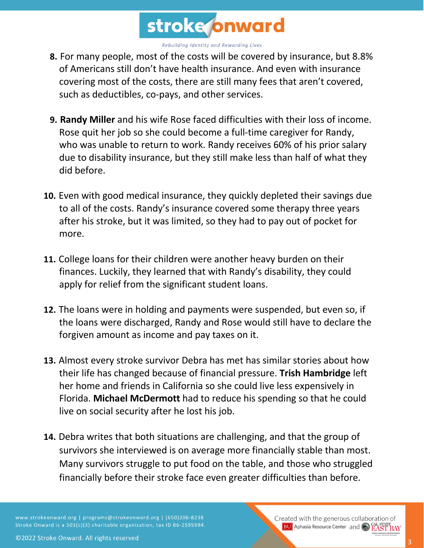

- **8.** For many people, most of the costs will be covered by insurance, but 8.8% of Americans still don't have health insurance. And even with insurance covering most of the costs, there are still many fees that aren't covered, such as deductibles, co-pays, and other services.
- **9. Randy Miller** and his wife Rose faced difficulties with their loss of income. Rose quit her job so she could become a full-time caregiver for Randy, who was unable to return to work. Randy receives 60% of his prior salary due to disability insurance, but they still make less than half of what they did before.
- **10.** Even with good medical insurance, they quickly depleted their savings due to all of the costs. Randy's insurance covered some therapy three years after his stroke, but it was limited, so they had to pay out of pocket for more.
- **11.** College loans for their children were another heavy burden on their finances. Luckily, they learned that with Randy's disability, they could apply for relief from the significant student loans.
- **12.** The loans were in holding and payments were suspended, but even so, if the loans were discharged, Randy and Rose would still have to declare the forgiven amount as income and pay taxes on it.
- **13.** Almost every stroke survivor Debra has met has similar stories about how their life has changed because of financial pressure. **Trish Hambridge** left her home and friends in California so she could live less expensively in Florida. **Michael McDermott** had to reduce his spending so that he could live on social security after he lost his job.
- **14.** Debra writes that both situations are challenging, and that the group of survivors she interviewed is on average more financially stable than most. Many survivors struggle to put food on the table, and those who struggled financially before their stroke face even greater difficulties than before.

www.strokeonward.org | programs@strokeonward.org | (650)206-8238 Stroke Onward is a 501(c)(3) charitable organization, tax ID 86-2595994. Created with the generous collaboration of **BU** Aphasia Resource Center and **CAL STATE**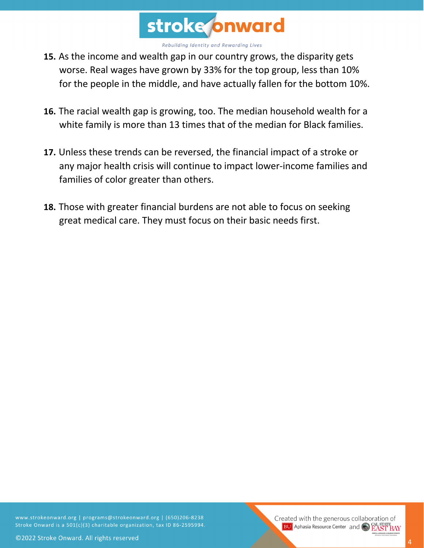

- **15.** As the income and wealth gap in our country grows, the disparity gets worse. Real wages have grown by 33% for the top group, less than 10% for the people in the middle, and have actually fallen for the bottom 10%.
- **16.** The racial wealth gap is growing, too. The median household wealth for a white family is more than 13 times that of the median for Black families.
- **17.** Unless these trends can be reversed, the financial impact of a stroke or any major health crisis will continue to impact lower-income families and families of color greater than others.
- **18.** Those with greater financial burdens are not able to focus on seeking great medical care. They must focus on their basic needs first.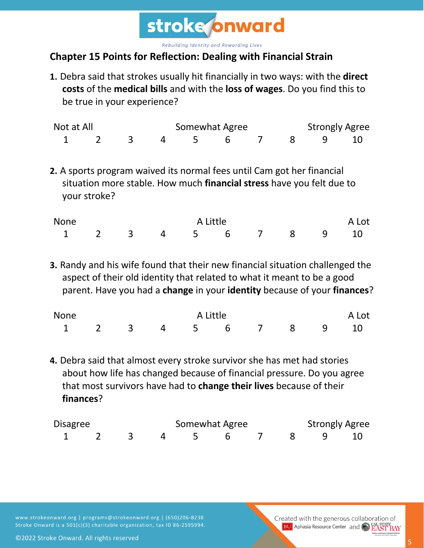

## **Chapter 15 Points for Reflection: Dealing with Financial Strain**

**1.** Debra said that strokes usually hit financially in two ways: with the **direct costs** of the **medical bills** and with the **loss of wages**. Do you find this to be true in your experience?

| Not at All           |  |  | Somewhat Agree |  |  |  | <b>Strongly Agree</b> |  |  |  |
|----------------------|--|--|----------------|--|--|--|-----------------------|--|--|--|
| 1 2 3 4 5 6 7 8 9 10 |  |  |                |  |  |  |                       |  |  |  |

**2.** A sports program waived its normal fees until Cam got her financial situation more stable. How much **financial stress** have you felt due to your stroke?

| <b>None</b>          |  | A Little |  | A Lot |  |  |  |  |
|----------------------|--|----------|--|-------|--|--|--|--|
| 1 2 3 4 5 6 7 8 9 10 |  |          |  |       |  |  |  |  |

**3.** Randy and his wife found that their new financial situation challenged the aspect of their old identity that related to what it meant to be a good parent. Have you had a **change** in your **identity** because of your **finances**?

| <b>None</b>          |  | A Little |  | A Lot |  |  |  |
|----------------------|--|----------|--|-------|--|--|--|
| 1 2 3 4 5 6 7 8 9 10 |  |          |  |       |  |  |  |

**4.** Debra said that almost every stroke survivor she has met had stories about how life has changed because of financial pressure. Do you agree that most survivors have had to **change their lives** because of their **finances**?

| Disagree |  | Somewhat Agree |                      |  |  | <b>Strongly Agree</b> |  |  |  |
|----------|--|----------------|----------------------|--|--|-----------------------|--|--|--|
|          |  |                | 1 2 3 4 5 6 7 8 9 10 |  |  |                       |  |  |  |